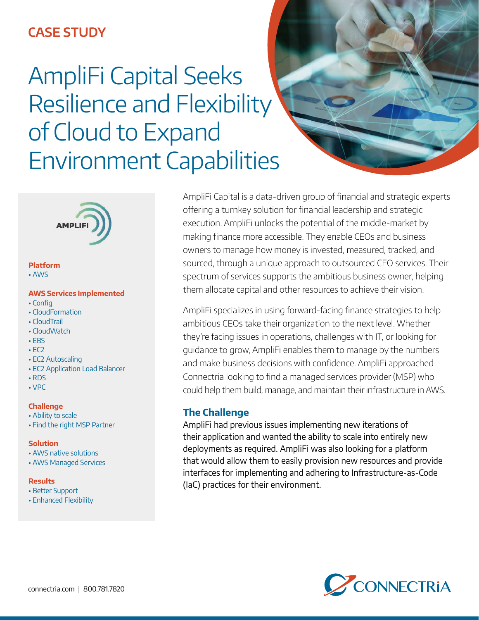# **CASE STUDY**

# AmpliFi Capital Seeks Resilience and Flexibility of Cloud to Expand Environment Capabilities



### **Platform**

• AWS

### **AWS Services Implemented**

- Config
- CloudFormation
- CloudTrail
- CloudWatch
- EBS
- $\cdot$  EC<sub>2</sub>
- EC2 Autoscaling
- EC2 Application Load Balancer
- RDS
- VPC

### **Challenge**

- Ability to scale
- Find the right MSP Partner

### **Solution**

- AWS native solutions
- AWS Managed Services

### **Results**

- Better Support
- Enhanced Flexibility

AmpliFi Capital is a data-driven group of financial and strategic experts offering a turnkey solution for financial leadership and strategic execution. AmpliFi unlocks the potential of the middle-market by making finance more accessible. They enable CEOs and business owners to manage how money is invested, measured, tracked, and sourced, through a unique approach to outsourced CFO services. Their spectrum of services supports the ambitious business owner, helping them allocate capital and other resources to achieve their vision.

AmpliFi specializes in using forward-facing finance strategies to help ambitious CEOs take their organization to the next level. Whether they're facing issues in operations, challenges with IT, or looking for guidance to grow, AmpliFi enables them to manage by the numbers and make business decisions with confidence. AmpliFi approached Connectria looking to find a managed services provider (MSP) who could help them build, manage, and maintain their infrastructure in AWS.

### **The Challenge**

AmpliFi had previous issues implementing new iterations of their application and wanted the ability to scale into entirely new deployments as required. AmpliFi was also looking for a platform that would allow them to easily provision new resources and provide interfaces for implementing and adhering to Infrastructure-as-Code (IaC) practices for their environment.

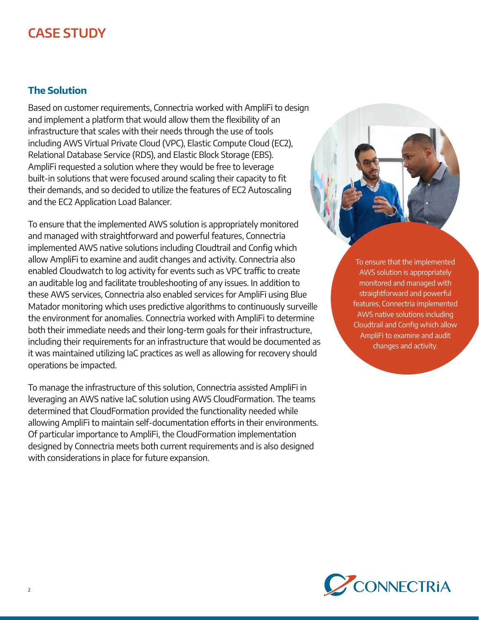# **CASE STUDY**

## **The Solution**

Based on customer requirements, Connectria worked with AmpliFi to design and implement a platform that would allow them the flexibility of an infrastructure that scales with their needs through the use of tools including AWS Virtual Private Cloud (VPC), Elastic Compute Cloud (EC2), Relational Database Service (RDS), and Elastic Block Storage (EBS). AmpliFi requested a solution where they would be free to leverage built-in solutions that were focused around scaling their capacity to fit their demands, and so decided to utilize the features of EC2 Autoscaling and the EC2 Application Load Balancer.

To ensure that the implemented AWS solution is appropriately monitored and managed with straightforward and powerful features, Connectria implemented AWS native solutions including Cloudtrail and Config which allow AmpliFi to examine and audit changes and activity. Connectria also enabled Cloudwatch to log activity for events such as VPC traffic to create an auditable log and facilitate troubleshooting of any issues. In addition to these AWS services, Connectria also enabled services for AmpliFi using Blue Matador monitoring which uses predictive algorithms to continuously surveille the environment for anomalies. Connectria worked with AmpliFi to determine both their immediate needs and their long-term goals for their infrastructure, including their requirements for an infrastructure that would be documented as it was maintained utilizing IaC practices as well as allowing for recovery should operations be impacted.

To manage the infrastructure of this solution, Connectria assisted AmpliFi in leveraging an AWS native IaC solution using AWS CloudFormation. The teams determined that CloudFormation provided the functionality needed while allowing AmpliFi to maintain self-documentation efforts in their environments. Of particular importance to AmpliFi, the CloudFormation implementation designed by Connectria meets both current requirements and is also designed with considerations in place for future expansion.

To ensure that the implemented AWS solution is appropriately monitored and managed with straightforward and powerful features, Connectria implemented AWS native solutions including Cloudtrail and Config which allow AmpliFi to examine and audit changes and activity.